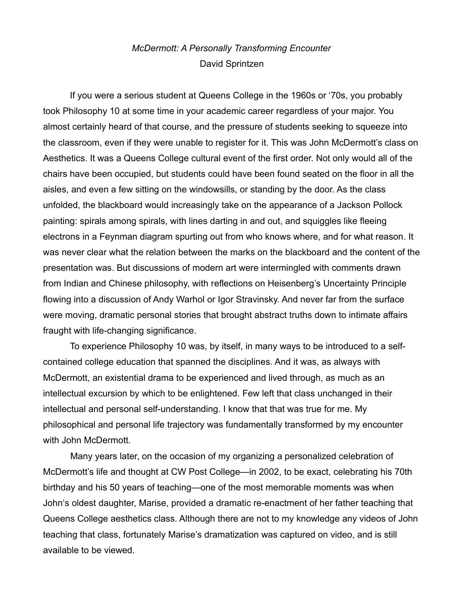## *McDermott: A Personally Transforming Encounter* David Sprintzen

If you were a serious student at Queens College in the 1960s or '70s, you probably took Philosophy 10 at some time in your academic career regardless of your major. You almost certainly heard of that course, and the pressure of students seeking to squeeze into the classroom, even if they were unable to register for it. This was John McDermott's class on Aesthetics. It was a Queens College cultural event of the first order. Not only would all of the chairs have been occupied, but students could have been found seated on the floor in all the aisles, and even a few sitting on the windowsills, or standing by the door. As the class unfolded, the blackboard would increasingly take on the appearance of a Jackson Pollock painting: spirals among spirals, with lines darting in and out, and squiggles like fleeing electrons in a Feynman diagram spurting out from who knows where, and for what reason. It was never clear what the relation between the marks on the blackboard and the content of the presentation was. But discussions of modern art were intermingled with comments drawn from Indian and Chinese philosophy, with reflections on Heisenberg's Uncertainty Principle flowing into a discussion of Andy Warhol or Igor Stravinsky. And never far from the surface were moving, dramatic personal stories that brought abstract truths down to intimate affairs fraught with life-changing significance.

To experience Philosophy 10 was, by itself, in many ways to be introduced to a selfcontained college education that spanned the disciplines. And it was, as always with McDermott, an existential drama to be experienced and lived through, as much as an intellectual excursion by which to be enlightened. Few left that class unchanged in their intellectual and personal self-understanding. I know that that was true for me. My philosophical and personal life trajectory was fundamentally transformed by my encounter with John McDermott.

Many years later, on the occasion of my organizing a personalized celebration of McDermott's life and thought at CW Post College—in 2002, to be exact, celebrating his 70th birthday and his 50 years of teaching—one of the most memorable moments was when John's oldest daughter, Marise, provided a dramatic re-enactment of her father teaching that Queens College aesthetics class. Although there are not to my knowledge any videos of John teaching that class, fortunately Marise's dramatization was captured on video, and is still available to be viewed.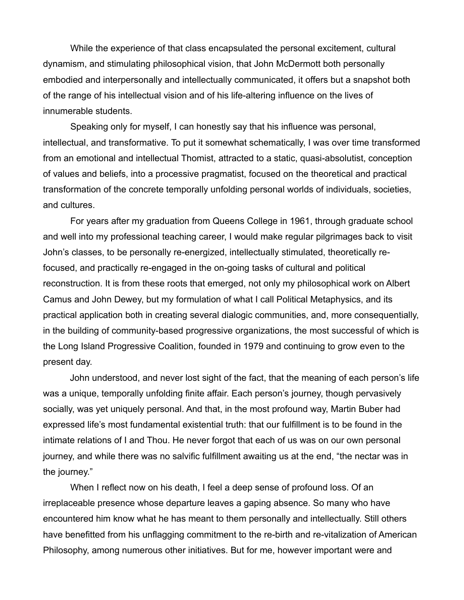While the experience of that class encapsulated the personal excitement, cultural dynamism, and stimulating philosophical vision, that John McDermott both personally embodied and interpersonally and intellectually communicated, it offers but a snapshot both of the range of his intellectual vision and of his life-altering influence on the lives of innumerable students.

Speaking only for myself, I can honestly say that his influence was personal, intellectual, and transformative. To put it somewhat schematically, I was over time transformed from an emotional and intellectual Thomist, attracted to a static, quasi-absolutist, conception of values and beliefs, into a processive pragmatist, focused on the theoretical and practical transformation of the concrete temporally unfolding personal worlds of individuals, societies, and cultures.

For years after my graduation from Queens College in 1961, through graduate school and well into my professional teaching career, I would make regular pilgrimages back to visit John's classes, to be personally re-energized, intellectually stimulated, theoretically refocused, and practically re-engaged in the on-going tasks of cultural and political reconstruction. It is from these roots that emerged, not only my philosophical work on Albert Camus and John Dewey, but my formulation of what I call Political Metaphysics, and its practical application both in creating several dialogic communities, and, more consequentially, in the building of community-based progressive organizations, the most successful of which is the Long Island Progressive Coalition, founded in 1979 and continuing to grow even to the present day.

John understood, and never lost sight of the fact, that the meaning of each person's life was a unique, temporally unfolding finite affair. Each person's journey, though pervasively socially, was yet uniquely personal. And that, in the most profound way, Martin Buber had expressed life's most fundamental existential truth: that our fulfillment is to be found in the intimate relations of I and Thou. He never forgot that each of us was on our own personal journey, and while there was no salvific fulfillment awaiting us at the end, "the nectar was in the journey."

When I reflect now on his death, I feel a deep sense of profound loss. Of an irreplaceable presence whose departure leaves a gaping absence. So many who have encountered him know what he has meant to them personally and intellectually. Still others have benefitted from his unflagging commitment to the re-birth and re-vitalization of American Philosophy, among numerous other initiatives. But for me, however important were and